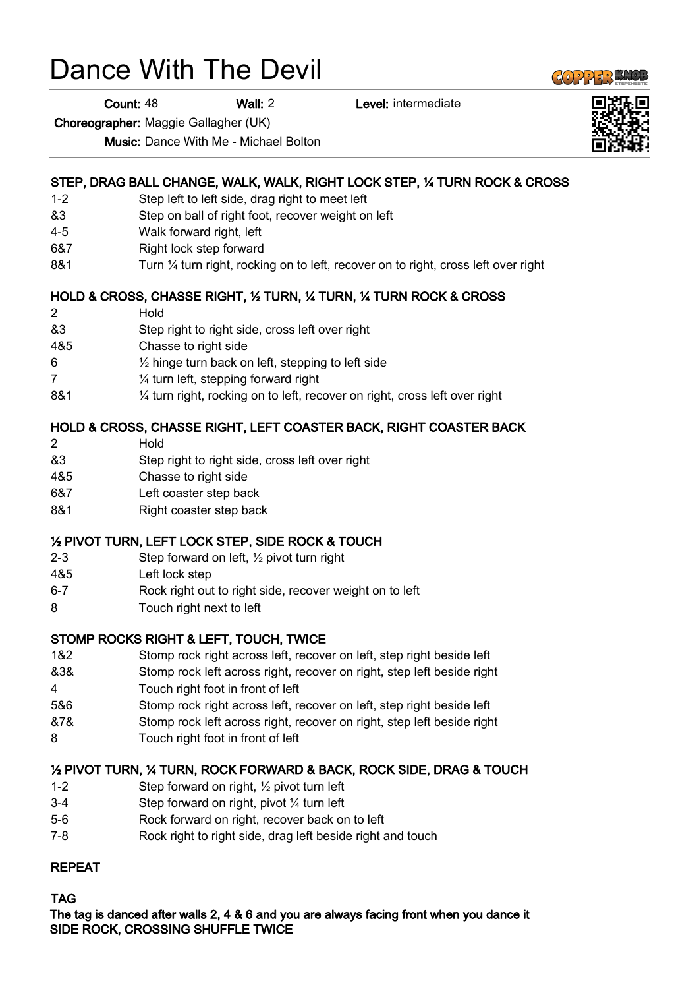# Dance With The Devil

Count: 48 Wall: 2 Level: intermediate

Choreographer: Maggie Gallagher (UK)

Music: Dance With Me - Michael Bolton

### STEP, DRAG BALL CHANGE, WALK, WALK, RIGHT LOCK STEP, ¼ TURN ROCK & CROSS

- 1-2 Step left to left side, drag right to meet left
- &3 Step on ball of right foot, recover weight on left
- 4-5 Walk forward right, left
- 6&7 Right lock step forward
- 8&1 Turn ¼ turn right, rocking on to left, recover on to right, cross left over right

### HOLD & CROSS, CHASSE RIGHT, ½ TURN, ¼ TURN, ¼ TURN ROCK & CROSS

- 2 Hold
- &3 Step right to right side, cross left over right
- 4&5 Chasse to right side
- 6 ½ hinge turn back on left, stepping to left side
- 7 ¼ turn left, stepping forward right
- 8&1 ¼ turn right, rocking on to left, recover on right, cross left over right

### HOLD & CROSS, CHASSE RIGHT, LEFT COASTER BACK, RIGHT COASTER BACK

- 2 Hold
- &3 Step right to right side, cross left over right
- 4&5 Chasse to right side
- 6&7 Left coaster step back
- 8&1 Right coaster step back

#### ½ PIVOT TURN, LEFT LOCK STEP, SIDE ROCK & TOUCH

- 2-3 Step forward on left, ½ pivot turn right
- 4&5 Left lock step
- 6-7 Rock right out to right side, recover weight on to left
- 8 Touch right next to left

#### STOMP ROCKS RIGHT & LEFT, TOUCH, TWICE

- 1&2 Stomp rock right across left, recover on left, step right beside left
- &3& Stomp rock left across right, recover on right, step left beside right 4 Touch right foot in front of left
- 5&6 Stomp rock right across left, recover on left, step right beside left
- &7& Stomp rock left across right, recover on right, step left beside right
- 8 Touch right foot in front of left

#### ½ PIVOT TURN, ¼ TURN, ROCK FORWARD & BACK, ROCK SIDE, DRAG & TOUCH

- 1-2 Step forward on right, ½ pivot turn left
- 3-4 Step forward on right, pivot ¼ turn left
- 5-6 Rock forward on right, recover back on to left
- 7-8 Rock right to right side, drag left beside right and touch

## REPEAT

## TAG

The tag is danced after walls 2, 4 & 6 and you are always facing front when you dance it SIDE ROCK, CROSSING SHUFFLE TWICE